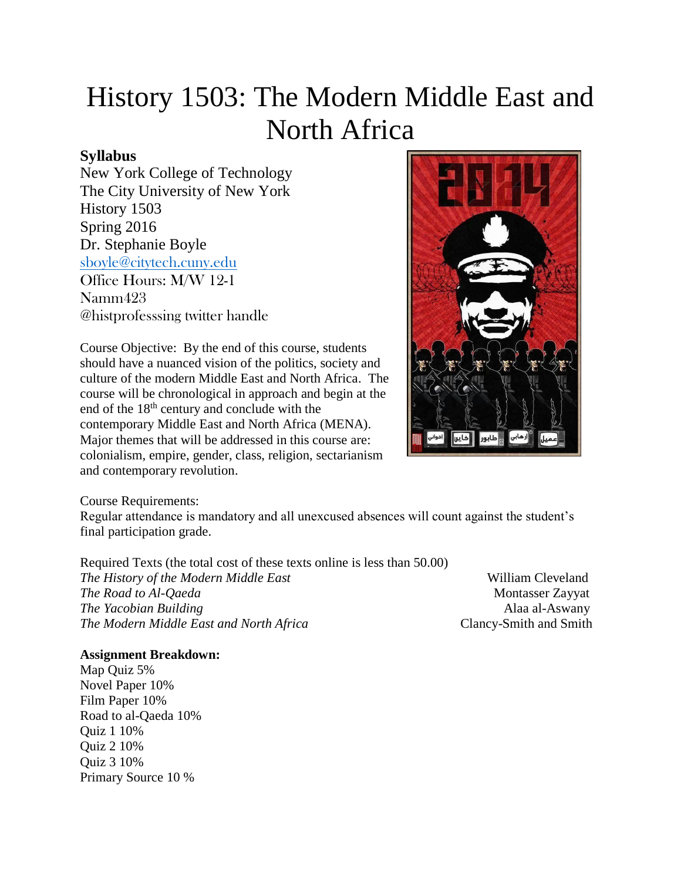# History 1503: The Modern Middle East and North Africa

# **Syllabus**

New York College of Technology The City University of New York History 1503 Spring 2016 Dr. Stephanie Boyle [sboyle@citytech.cuny.edu](mailto:sboyle@citytech.cuny.edu) Office Hours: M/W 12-1 Namm423 @histprofesssing twitter handle

Course Objective: By the end of this course, students should have a nuanced vision of the politics, society and culture of the modern Middle East and North Africa. The course will be chronological in approach and begin at the end of the 18<sup>th</sup> century and conclude with the contemporary Middle East and North Africa (MENA). Major themes that will be addressed in this course are: colonialism, empire, gender, class, religion, sectarianism and contemporary revolution.



Course Requirements:

Regular attendance is mandatory and all unexcused absences will count against the student's final participation grade.

Required Texts (the total cost of these texts online is less than 50.00) *The History of the Modern Middle East* William Cleveland *The Road to Al-Qaeda* Montasser Zayyat *The Yacobian Building* Alaa al-Aswany *The Modern Middle East and North Africa* Clancy-Smith and Smith

# **Assignment Breakdown:**

Map Quiz 5% Novel Paper 10% Film Paper 10% Road to al-Qaeda 10% Quiz 1 10% Quiz 2 10% Quiz 3 10% Primary Source 10 %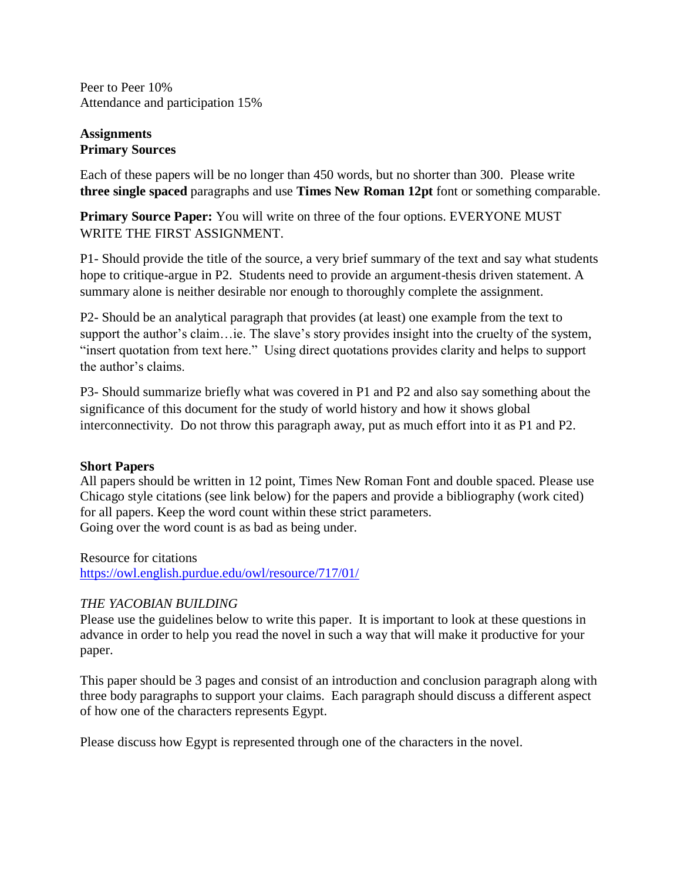Peer to Peer 10% Attendance and participation 15%

## **Assignments Primary Sources**

Each of these papers will be no longer than 450 words, but no shorter than 300. Please write **three single spaced** paragraphs and use **Times New Roman 12pt** font or something comparable.

**Primary Source Paper:** You will write on three of the four options. EVERYONE MUST WRITE THE FIRST ASSIGNMENT.

P1- Should provide the title of the source, a very brief summary of the text and say what students hope to critique-argue in P2. Students need to provide an argument-thesis driven statement. A summary alone is neither desirable nor enough to thoroughly complete the assignment.

P2- Should be an analytical paragraph that provides (at least) one example from the text to support the author's claim…ie. The slave's story provides insight into the cruelty of the system, "insert quotation from text here." Using direct quotations provides clarity and helps to support the author's claims.

P3- Should summarize briefly what was covered in P1 and P2 and also say something about the significance of this document for the study of world history and how it shows global interconnectivity. Do not throw this paragraph away, put as much effort into it as P1 and P2.

## **Short Papers**

All papers should be written in 12 point, Times New Roman Font and double spaced. Please use Chicago style citations (see link below) for the papers and provide a bibliography (work cited) for all papers. Keep the word count within these strict parameters. Going over the word count is as bad as being under.

Resource for citations <https://owl.english.purdue.edu/owl/resource/717/01/>

# *THE YACOBIAN BUILDING*

Please use the guidelines below to write this paper. It is important to look at these questions in advance in order to help you read the novel in such a way that will make it productive for your paper.

This paper should be 3 pages and consist of an introduction and conclusion paragraph along with three body paragraphs to support your claims. Each paragraph should discuss a different aspect of how one of the characters represents Egypt.

Please discuss how Egypt is represented through one of the characters in the novel.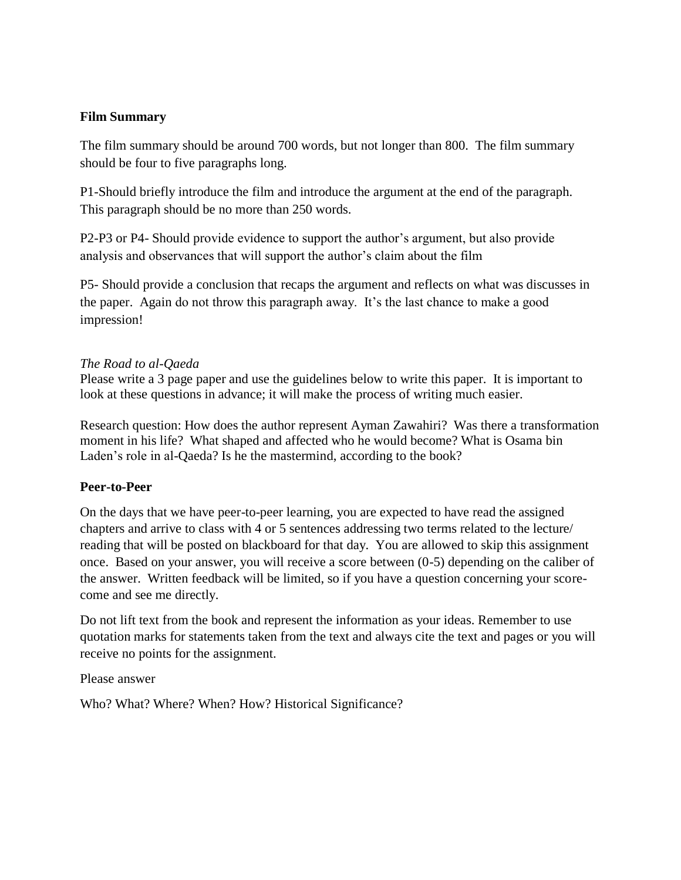## **Film Summary**

The film summary should be around 700 words, but not longer than 800. The film summary should be four to five paragraphs long.

P1-Should briefly introduce the film and introduce the argument at the end of the paragraph. This paragraph should be no more than 250 words.

P2-P3 or P4- Should provide evidence to support the author's argument, but also provide analysis and observances that will support the author's claim about the film

P5- Should provide a conclusion that recaps the argument and reflects on what was discusses in the paper. Again do not throw this paragraph away. It's the last chance to make a good impression!

## *The Road to al-Qaeda*

Please write a 3 page paper and use the guidelines below to write this paper. It is important to look at these questions in advance; it will make the process of writing much easier.

Research question: How does the author represent Ayman Zawahiri? Was there a transformation moment in his life? What shaped and affected who he would become? What is Osama bin Laden's role in al-Qaeda? Is he the mastermind, according to the book?

## **Peer-to-Peer**

On the days that we have peer-to-peer learning, you are expected to have read the assigned chapters and arrive to class with 4 or 5 sentences addressing two terms related to the lecture/ reading that will be posted on blackboard for that day. You are allowed to skip this assignment once. Based on your answer, you will receive a score between (0-5) depending on the caliber of the answer. Written feedback will be limited, so if you have a question concerning your scorecome and see me directly.

Do not lift text from the book and represent the information as your ideas. Remember to use quotation marks for statements taken from the text and always cite the text and pages or you will receive no points for the assignment.

Please answer

Who? What? Where? When? How? Historical Significance?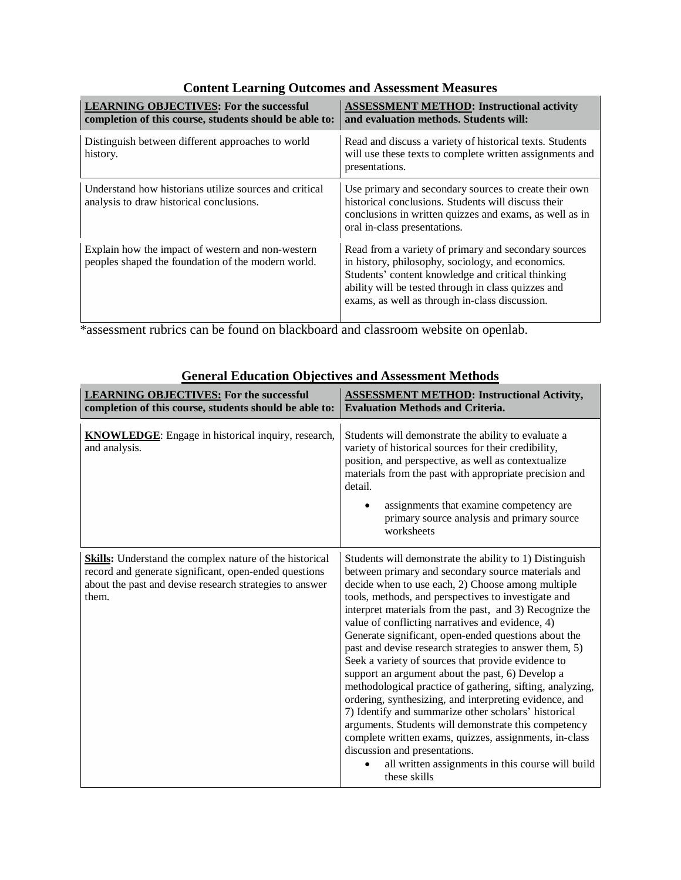| <b>LEARNING OBJECTIVES: For the successful</b><br>completion of this course, students should be able to: | <b>ASSESSMENT METHOD: Instructional activity</b><br>and evaluation methods. Students will:                                                                                                              |
|----------------------------------------------------------------------------------------------------------|---------------------------------------------------------------------------------------------------------------------------------------------------------------------------------------------------------|
| Distinguish between different approaches to world<br>history.                                            | Read and discuss a variety of historical texts. Students<br>will use these texts to complete written assignments and<br>presentations.                                                                  |
| Understand how historians utilize sources and critical<br>analysis to draw historical conclusions.       | Use primary and secondary sources to create their own<br>historical conclusions. Students will discuss their<br>conclusions in written quizzes and exams, as well as in<br>oral in-class presentations. |

Read from a variety of primary and secondary sources in history, philosophy, sociology, and economics. Students' content knowledge and critical thinking ability will be tested through in class quizzes and exams, as well as through in-class discussion.

## **Content Learning Outcomes and Assessment Measures**

\*assessment rubrics can be found on blackboard and classroom website on openlab.

Explain how the impact of western and non-western peoples shaped the foundation of the modern world.

| <b>LEARNING OBJECTIVES: For the successful</b><br>completion of this course, students should be able to:                                                                                    | <b>ASSESSMENT METHOD: Instructional Activity,</b><br><b>Evaluation Methods and Criteria.</b>                                                                                                                                                                                                                                                                                                                                                                                                                                                                                                                                                                                                                                                                                                                                                                                                                                                                                |
|---------------------------------------------------------------------------------------------------------------------------------------------------------------------------------------------|-----------------------------------------------------------------------------------------------------------------------------------------------------------------------------------------------------------------------------------------------------------------------------------------------------------------------------------------------------------------------------------------------------------------------------------------------------------------------------------------------------------------------------------------------------------------------------------------------------------------------------------------------------------------------------------------------------------------------------------------------------------------------------------------------------------------------------------------------------------------------------------------------------------------------------------------------------------------------------|
| <b>KNOWLEDGE:</b> Engage in historical inquiry, research,<br>and analysis.                                                                                                                  | Students will demonstrate the ability to evaluate a<br>variety of historical sources for their credibility,<br>position, and perspective, as well as contextualize<br>materials from the past with appropriate precision and<br>detail.<br>assignments that examine competency are<br>$\bullet$<br>primary source analysis and primary source<br>worksheets                                                                                                                                                                                                                                                                                                                                                                                                                                                                                                                                                                                                                 |
| <b>Skills:</b> Understand the complex nature of the historical<br>record and generate significant, open-ended questions<br>about the past and devise research strategies to answer<br>them. | Students will demonstrate the ability to 1) Distinguish<br>between primary and secondary source materials and<br>decide when to use each, 2) Choose among multiple<br>tools, methods, and perspectives to investigate and<br>interpret materials from the past, and 3) Recognize the<br>value of conflicting narratives and evidence, 4)<br>Generate significant, open-ended questions about the<br>past and devise research strategies to answer them, 5)<br>Seek a variety of sources that provide evidence to<br>support an argument about the past, 6) Develop a<br>methodological practice of gathering, sifting, analyzing,<br>ordering, synthesizing, and interpreting evidence, and<br>7) Identify and summarize other scholars' historical<br>arguments. Students will demonstrate this competency<br>complete written exams, quizzes, assignments, in-class<br>discussion and presentations.<br>all written assignments in this course will build<br>these skills |

## **General Education Objectives and Assessment Methods**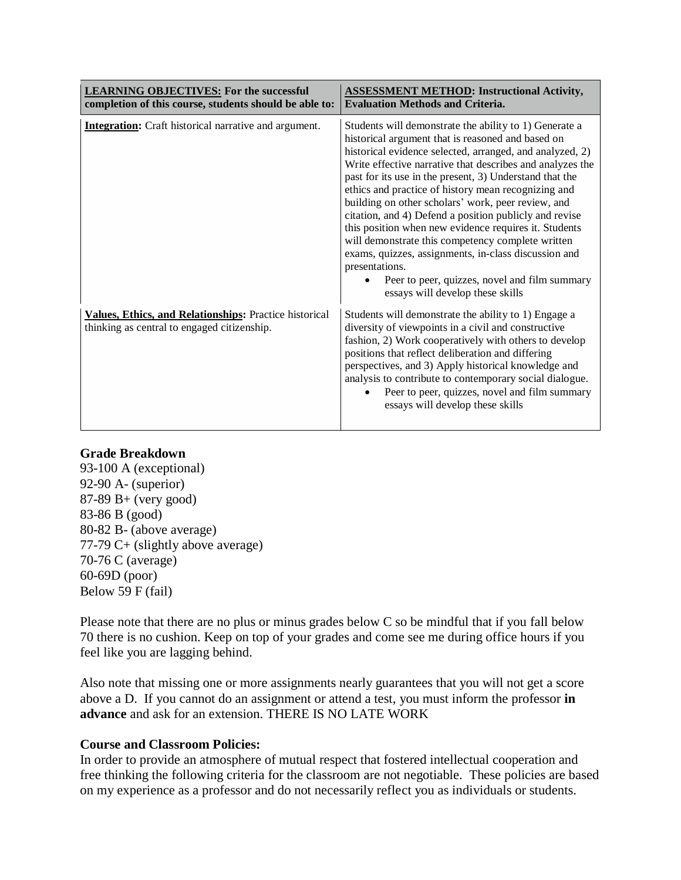| <b>LEARNING OBJECTIVES: For the successful</b><br>completion of this course, students should be able to: | <b>ASSESSMENT METHOD: Instructional Activity,</b><br><b>Evaluation Methods and Criteria.</b>                                                                                                                                                                                                                                                                                                                                                                                                                                                                                                                                                                                                                                                        |
|----------------------------------------------------------------------------------------------------------|-----------------------------------------------------------------------------------------------------------------------------------------------------------------------------------------------------------------------------------------------------------------------------------------------------------------------------------------------------------------------------------------------------------------------------------------------------------------------------------------------------------------------------------------------------------------------------------------------------------------------------------------------------------------------------------------------------------------------------------------------------|
| <b>Integration:</b> Craft historical narrative and argument.                                             | Students will demonstrate the ability to 1) Generate a<br>historical argument that is reasoned and based on<br>historical evidence selected, arranged, and analyzed, 2)<br>Write effective narrative that describes and analyzes the<br>past for its use in the present, 3) Understand that the<br>ethics and practice of history mean recognizing and<br>building on other scholars' work, peer review, and<br>citation, and 4) Defend a position publicly and revise<br>this position when new evidence requires it. Students<br>will demonstrate this competency complete written<br>exams, quizzes, assignments, in-class discussion and<br>presentations.<br>Peer to peer, quizzes, novel and film summary<br>essays will develop these skills |
| Values, Ethics, and Relationships: Practice historical<br>thinking as central to engaged citizenship.    | Students will demonstrate the ability to 1) Engage a<br>diversity of viewpoints in a civil and constructive<br>fashion, 2) Work cooperatively with others to develop<br>positions that reflect deliberation and differing<br>perspectives, and 3) Apply historical knowledge and<br>analysis to contribute to contemporary social dialogue.<br>Peer to peer, quizzes, novel and film summary<br>essays will develop these skills                                                                                                                                                                                                                                                                                                                    |

## **Grade Breakdown**

93-100 A (exceptional) 92-90 A- (superior) 87-89 B+ (very good) 83-86 B (good) 80-82 B- (above average) 77-79 C+ (slightly above average) 70-76 C (average) 60-69D (poor) Below 59 F (fail)

Please note that there are no plus or minus grades below C so be mindful that if you fall below 70 there is no cushion. Keep on top of your grades and come see me during office hours if you feel like you are lagging behind.

Also note that missing one or more assignments nearly guarantees that you will not get a score above a D. If you cannot do an assignment or attend a test, you must inform the professor **in advance** and ask for an extension. THERE IS NO LATE WORK

## **Course and Classroom Policies:**

In order to provide an atmosphere of mutual respect that fostered intellectual cooperation and free thinking the following criteria for the classroom are not negotiable. These policies are based on my experience as a professor and do not necessarily reflect you as individuals or students.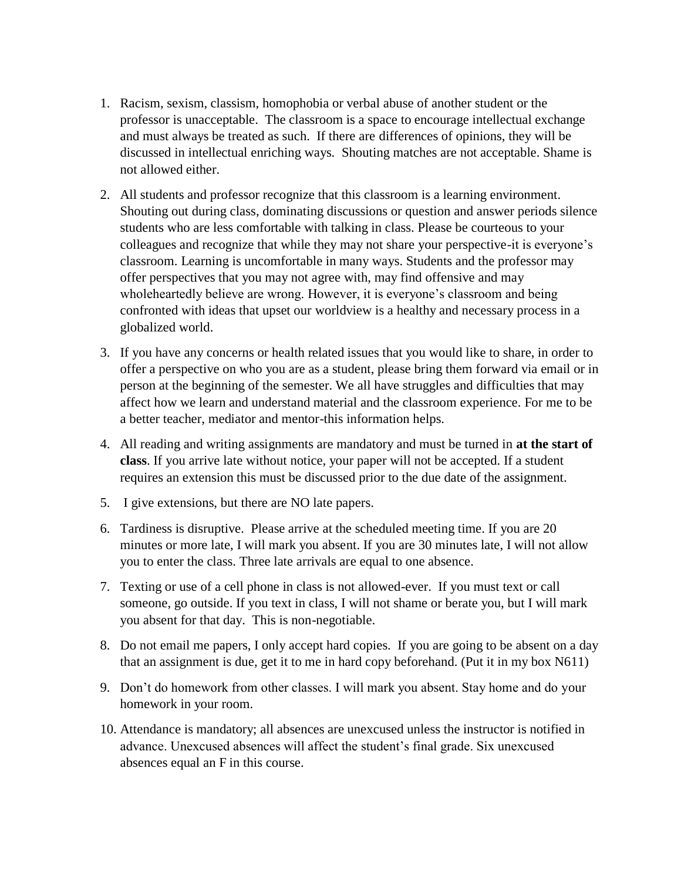- 1. Racism, sexism, classism, homophobia or verbal abuse of another student or the professor is unacceptable. The classroom is a space to encourage intellectual exchange and must always be treated as such. If there are differences of opinions, they will be discussed in intellectual enriching ways. Shouting matches are not acceptable. Shame is not allowed either.
- 2. All students and professor recognize that this classroom is a learning environment. Shouting out during class, dominating discussions or question and answer periods silence students who are less comfortable with talking in class. Please be courteous to your colleagues and recognize that while they may not share your perspective-it is everyone's classroom. Learning is uncomfortable in many ways. Students and the professor may offer perspectives that you may not agree with, may find offensive and may wholeheartedly believe are wrong. However, it is everyone's classroom and being confronted with ideas that upset our worldview is a healthy and necessary process in a globalized world.
- 3. If you have any concerns or health related issues that you would like to share, in order to offer a perspective on who you are as a student, please bring them forward via email or in person at the beginning of the semester. We all have struggles and difficulties that may affect how we learn and understand material and the classroom experience. For me to be a better teacher, mediator and mentor-this information helps.
- 4. All reading and writing assignments are mandatory and must be turned in **at the start of class**. If you arrive late without notice, your paper will not be accepted. If a student requires an extension this must be discussed prior to the due date of the assignment.
- 5. I give extensions, but there are NO late papers.
- 6. Tardiness is disruptive. Please arrive at the scheduled meeting time. If you are 20 minutes or more late, I will mark you absent. If you are 30 minutes late, I will not allow you to enter the class. Three late arrivals are equal to one absence.
- 7. Texting or use of a cell phone in class is not allowed-ever. If you must text or call someone, go outside. If you text in class, I will not shame or berate you, but I will mark you absent for that day. This is non-negotiable.
- 8. Do not email me papers, I only accept hard copies. If you are going to be absent on a day that an assignment is due, get it to me in hard copy beforehand. (Put it in my box N611)
- 9. Don't do homework from other classes. I will mark you absent. Stay home and do your homework in your room.
- 10. Attendance is mandatory; all absences are unexcused unless the instructor is notified in advance. Unexcused absences will affect the student's final grade. Six unexcused absences equal an F in this course.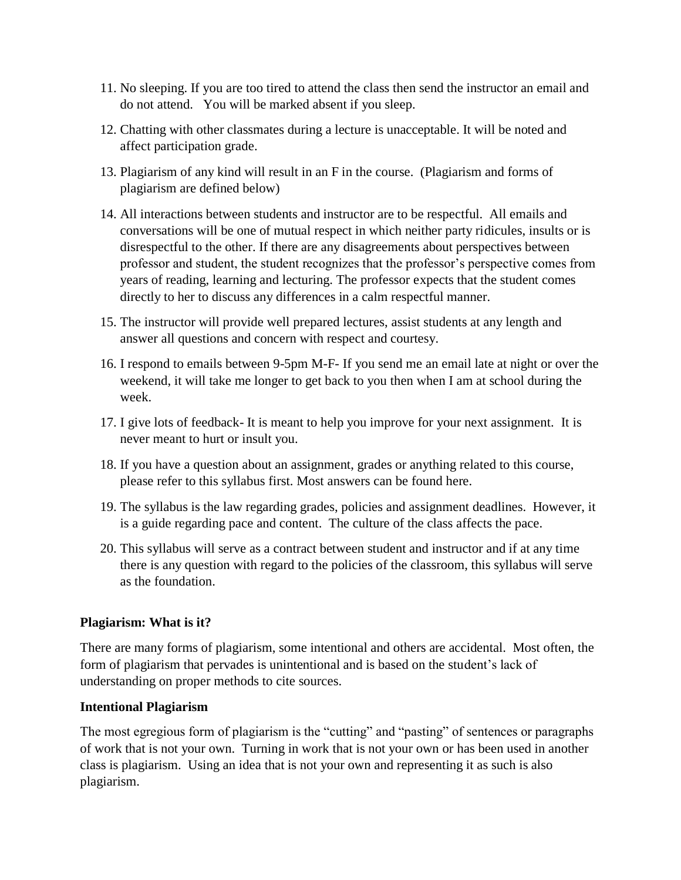- 11. No sleeping. If you are too tired to attend the class then send the instructor an email and do not attend. You will be marked absent if you sleep.
- 12. Chatting with other classmates during a lecture is unacceptable. It will be noted and affect participation grade.
- 13. Plagiarism of any kind will result in an F in the course. (Plagiarism and forms of plagiarism are defined below)
- 14. All interactions between students and instructor are to be respectful. All emails and conversations will be one of mutual respect in which neither party ridicules, insults or is disrespectful to the other. If there are any disagreements about perspectives between professor and student, the student recognizes that the professor's perspective comes from years of reading, learning and lecturing. The professor expects that the student comes directly to her to discuss any differences in a calm respectful manner.
- 15. The instructor will provide well prepared lectures, assist students at any length and answer all questions and concern with respect and courtesy.
- 16. I respond to emails between 9-5pm M-F- If you send me an email late at night or over the weekend, it will take me longer to get back to you then when I am at school during the week.
- 17. I give lots of feedback- It is meant to help you improve for your next assignment. It is never meant to hurt or insult you.
- 18. If you have a question about an assignment, grades or anything related to this course, please refer to this syllabus first. Most answers can be found here.
- 19. The syllabus is the law regarding grades, policies and assignment deadlines. However, it is a guide regarding pace and content. The culture of the class affects the pace.
- 20. This syllabus will serve as a contract between student and instructor and if at any time there is any question with regard to the policies of the classroom, this syllabus will serve as the foundation.

## **Plagiarism: What is it?**

There are many forms of plagiarism, some intentional and others are accidental. Most often, the form of plagiarism that pervades is unintentional and is based on the student's lack of understanding on proper methods to cite sources.

## **Intentional Plagiarism**

The most egregious form of plagiarism is the "cutting" and "pasting" of sentences or paragraphs of work that is not your own. Turning in work that is not your own or has been used in another class is plagiarism. Using an idea that is not your own and representing it as such is also plagiarism.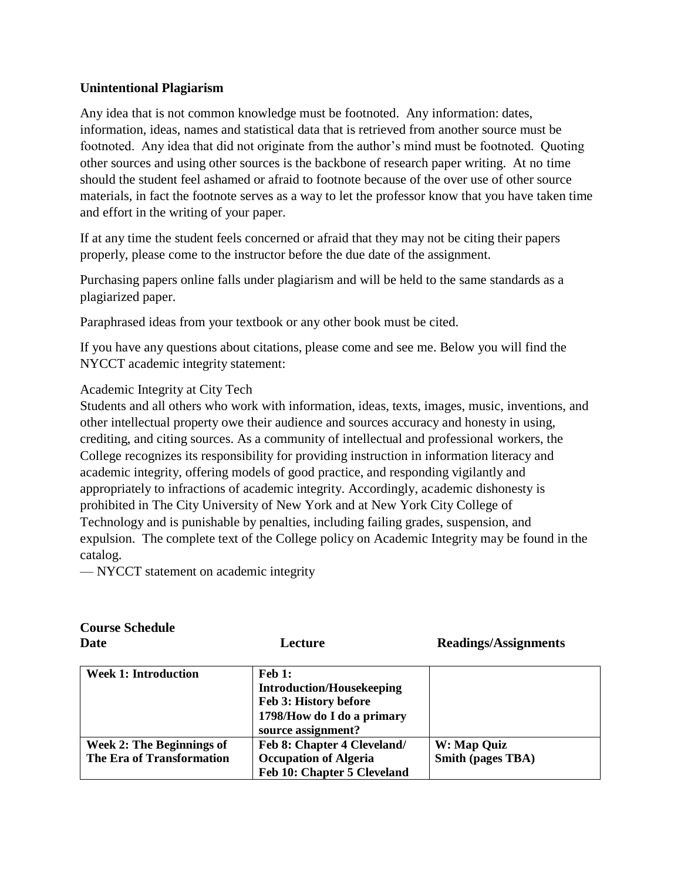## **Unintentional Plagiarism**

Any idea that is not common knowledge must be footnoted. Any information: dates, information, ideas, names and statistical data that is retrieved from another source must be footnoted. Any idea that did not originate from the author's mind must be footnoted. Quoting other sources and using other sources is the backbone of research paper writing. At no time should the student feel ashamed or afraid to footnote because of the over use of other source materials, in fact the footnote serves as a way to let the professor know that you have taken time and effort in the writing of your paper.

If at any time the student feels concerned or afraid that they may not be citing their papers properly, please come to the instructor before the due date of the assignment.

Purchasing papers online falls under plagiarism and will be held to the same standards as a plagiarized paper.

Paraphrased ideas from your textbook or any other book must be cited.

If you have any questions about citations, please come and see me. Below you will find the NYCCT academic integrity statement:

Academic Integrity at City Tech

Students and all others who work with information, ideas, texts, images, music, inventions, and other intellectual property owe their audience and sources accuracy and honesty in using, crediting, and citing sources. As a community of intellectual and professional workers, the College recognizes its responsibility for providing instruction in information literacy and academic integrity, offering models of good practice, and responding vigilantly and appropriately to infractions of academic integrity. Accordingly, academic dishonesty is prohibited in The City University of New York and at New York City College of Technology and is punishable by penalties, including failing grades, suspension, and expulsion. The complete text of the College policy on Academic Integrity may be found in the catalog.

— NYCCT statement on academic integrity

| <b>Course Schedule</b><br>Date                                | Lecture                                                                                                                        | <b>Readings/Assignments</b>             |
|---------------------------------------------------------------|--------------------------------------------------------------------------------------------------------------------------------|-----------------------------------------|
| <b>Week 1: Introduction</b>                                   | $\bf{Feh}$ 1:<br><b>Introduction/Housekeeping</b><br>Feb 3: History before<br>1798/How do I do a primary<br>source assignment? |                                         |
| <b>Week 2: The Beginnings of</b><br>The Era of Transformation | Feb 8: Chapter 4 Cleveland/<br><b>Occupation of Algeria</b><br>Feb 10: Chapter 5 Cleveland                                     | W: Map Quiz<br><b>Smith (pages TBA)</b> |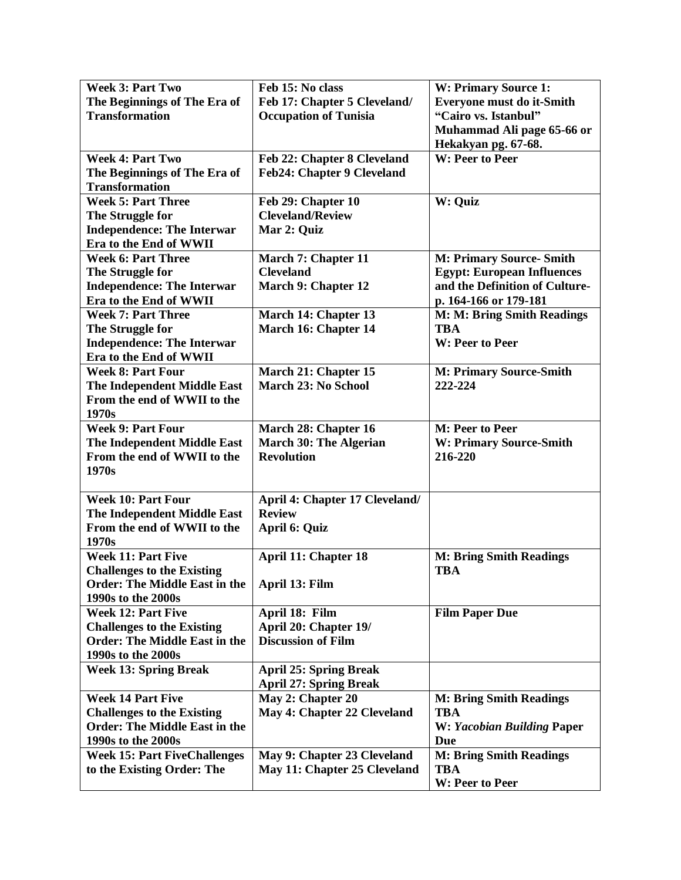| <b>Week 3: Part Two</b>                         | Feb 15: No class                                                 | W: Primary Source 1:                   |
|-------------------------------------------------|------------------------------------------------------------------|----------------------------------------|
| The Beginnings of The Era of                    | Feb 17: Chapter 5 Cleveland/                                     | <b>Everyone must do it-Smith</b>       |
| <b>Transformation</b>                           | <b>Occupation of Tunisia</b>                                     | "Cairo vs. Istanbul"                   |
|                                                 |                                                                  | Muhammad Ali page 65-66 or             |
| <b>Week 4: Part Two</b>                         |                                                                  | Hekakyan pg. 67-68.<br>W: Peer to Peer |
| The Beginnings of The Era of                    | Feb 22: Chapter 8 Cleveland<br><b>Feb24: Chapter 9 Cleveland</b> |                                        |
| <b>Transformation</b>                           |                                                                  |                                        |
| <b>Week 5: Part Three</b>                       | Feb 29: Chapter 10                                               | W: Quiz                                |
| The Struggle for                                | <b>Cleveland/Review</b>                                          |                                        |
| <b>Independence: The Interwar</b>               | Mar 2: Quiz                                                      |                                        |
| Era to the End of WWII                          |                                                                  |                                        |
| <b>Week 6: Part Three</b>                       | March 7: Chapter 11                                              | <b>M: Primary Source- Smith</b>        |
| The Struggle for                                | <b>Cleveland</b>                                                 | <b>Egypt: European Influences</b>      |
| <b>Independence: The Interwar</b>               | March 9: Chapter 12                                              | and the Definition of Culture-         |
| Era to the End of WWII                          |                                                                  | p. 164-166 or 179-181                  |
| <b>Week 7: Part Three</b>                       | March 14: Chapter 13                                             | M: M: Bring Smith Readings             |
| The Struggle for                                | March 16: Chapter 14                                             | <b>TBA</b>                             |
| <b>Independence: The Interwar</b>               |                                                                  | W: Peer to Peer                        |
| Era to the End of WWII                          |                                                                  |                                        |
| <b>Week 8: Part Four</b>                        | March 21: Chapter 15                                             | <b>M: Primary Source-Smith</b>         |
| The Independent Middle East                     | March 23: No School                                              | 222-224                                |
| From the end of WWII to the<br>1970s            |                                                                  |                                        |
| <b>Week 9: Part Four</b>                        | March 28: Chapter 16                                             | M: Peer to Peer                        |
| The Independent Middle East                     | <b>March 30: The Algerian</b>                                    | W: Primary Source-Smith                |
| From the end of WWII to the                     | <b>Revolution</b>                                                | 216-220                                |
| 1970s                                           |                                                                  |                                        |
|                                                 |                                                                  |                                        |
| <b>Week 10: Part Four</b>                       | April 4: Chapter 17 Cleveland/                                   |                                        |
| The Independent Middle East                     | <b>Review</b>                                                    |                                        |
| From the end of WWII to the                     | April 6: Quiz                                                    |                                        |
| 1970s                                           |                                                                  |                                        |
| <b>Week 11: Part Five</b>                       | <b>April 11: Chapter 18</b>                                      | <b>M: Bring Smith Readings</b>         |
| <b>Challenges to the Existing</b>               |                                                                  | <b>TBA</b>                             |
| <b>Order: The Middle East in the</b>            | April 13: Film                                                   |                                        |
| 1990s to the 2000s<br><b>Week 12: Part Five</b> |                                                                  |                                        |
| <b>Challenges to the Existing</b>               | April 18: Film<br>April 20: Chapter 19/                          | <b>Film Paper Due</b>                  |
| <b>Order: The Middle East in the</b>            | <b>Discussion of Film</b>                                        |                                        |
| 1990s to the 2000s                              |                                                                  |                                        |
| <b>Week 13: Spring Break</b>                    | <b>April 25: Spring Break</b>                                    |                                        |
|                                                 | <b>April 27: Spring Break</b>                                    |                                        |
| <b>Week 14 Part Five</b>                        | May 2: Chapter 20                                                | <b>M: Bring Smith Readings</b>         |
| <b>Challenges to the Existing</b>               | May 4: Chapter 22 Cleveland                                      | <b>TBA</b>                             |
| <b>Order: The Middle East in the</b>            |                                                                  | W: Yacobian Building Paper             |
| 1990s to the 2000s                              |                                                                  | Due                                    |
| <b>Week 15: Part FiveChallenges</b>             | May 9: Chapter 23 Cleveland                                      | <b>M: Bring Smith Readings</b>         |
| to the Existing Order: The                      | May 11: Chapter 25 Cleveland                                     | <b>TBA</b>                             |
|                                                 |                                                                  | W: Peer to Peer                        |